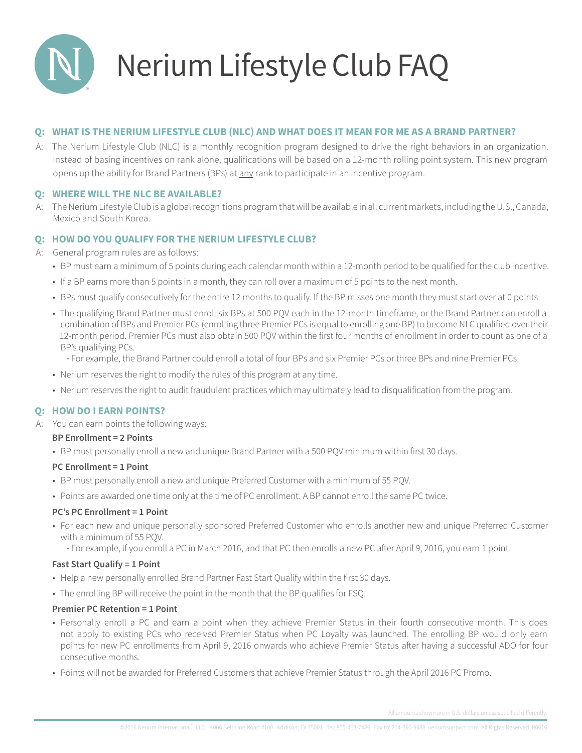

# Nerium Lifestyle Club FAQ

# **QQ: WHAT IS THE NERIUM LIFESTYLE CLUB (NLC) AND WHAT DOES IT MEAN FOR ME AS A BRAND PARTNER?**

A: The Nerium Lifestyle Club (NLC) is a monthly recognition program designed to drive the right behaviors in an organization. Instead of basing incentives on rank alone, qualifications will be based on a 12-month rolling point system. This new program opens up the ability for Brand Partners (BPs) at any rank to participate in an incentive program.

# **Q: WHERE WILL THE NLC BE AVAILABLE?**

A: The Nerium Lifestyle Club is a global recognitions program that will be available in all current markets, including the U.S., Canada, Mexico and South Korea.

# **Q: HOW DO YOU QUALIFY FOR THE NERIUM LIFESTYLE CLUB?**

A: General program rules are as follows:

- BP must earn a minimum of 5 points during each calendar month within a 12-month period to be qualified for the club incentive.
- If a BP earns more than 5 points in a month, they can roll over a maximum of 5 points to the next month.
- BPs must qualify consecutively for the entire 12 months to qualify. If the BP misses one month they must start over at 0 points.
- The qualifying Brand Partner must enroll six BPs at 500 PQV each in the 12-month timeframe, or the Brand Partner can enroll a combination of BPs and Premier PCs (enrolling three Premier PCs is equal to enrolling one BP) to become NLC qualified over their 12-month period. Premier PCs must also obtain 500 PQV within the first four months of enrollment in order to count as one of a BP's qualifying PCs.
	- For example, the Brand Partner could enroll a total of four BPs and six Premier PCs or three BPs and nine Premier PCs.
- Nerium reserves the right to modify the rules of this program at any time.
- Nerium reserves the right to audit fraudulent practices which may ultimately lead to disqualification from the program.

# **Q: HOW DO I EARN POINTS?**

A: You can earn points the following ways:

## **BP Enrollment = 2 Points**

• BP must personally enroll a new and unique Brand Partner with a 500 PQV minimum within first 30 days.

# **PC Enrollment = 1 Point**

- BP must personally enroll a new and unique Preferred Customer with a minimum of 55 PQV.
- Points are awarded one time only at the time of PC enrollment. A BP cannot enroll the same PC twice.

## **PC's PC Enrollment = 1 Point**

- For each new and unique personally sponsored Preferred Customer who enrolls another new and unique Preferred Customer with a minimum of 55 PQV.
	- For example, if you enroll a PC in March 2016, and that PC then enrolls a new PC after April 9, 2016, you earn 1 point.

## **Fast Start Qualify = 1 Point**

- Help a new personally enrolled Brand Partner Fast Start Qualify within the first 30 days.
- The enrolling BP will receive the point in the month that the BP qualifies for FSQ.

# **Premier PC Retention = 1 Point**

- Personally enroll a PC and earn a point when they achieve Premier Status in their fourth consecutive month. This does not apply to existing PCs who received Premier Status when PC Loyalty was launched. The enrolling BP would only earn points for new PC enrollments from April 9, 2016 onwards who achieve Premier Status after having a successful ADO for four consecutive months.
- Points will not be awarded for Preferred Customers that achieve Premier Status through the April 2016 PC Promo.